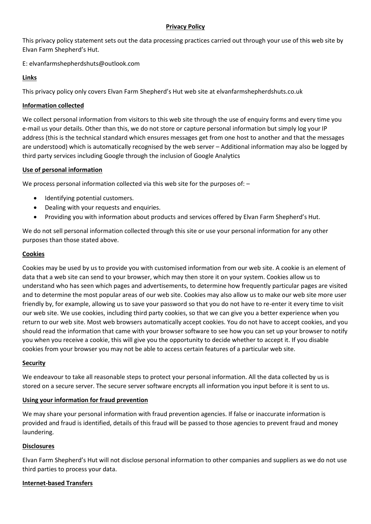#### **Privacy Policy**

This privacy policy statement sets out the data processing practices carried out through your use of this web site by Elvan Farm Shepherd's Hut.

E: elvanfarmshepherdshuts@outlook.com

# **Links**

This privacy policy only covers Elvan Farm Shepherd's Hut web site at elvanfarmshepherdshuts.co.uk

## **Information collected**

We collect personal information from visitors to this web site through the use of enquiry forms and every time you e-mail us your details. Other than this, we do not store or capture personal information but simply log your IP address (this is the technical standard which ensures messages get from one host to another and that the messages are understood) which is automatically recognised by the web server – Additional information may also be logged by third party services including Google through the inclusion of Google Analytics

### **Use of personal information**

We process personal information collected via this web site for the purposes of: -

- Identifying potential customers.
- Dealing with your requests and enquiries.
- Providing you with information about products and services offered by Elvan Farm Shepherd's Hut.

We do not sell personal information collected through this site or use your personal information for any other purposes than those stated above.

### **Cookies**

Cookies may be used by us to provide you with customised information from our web site. A cookie is an element of data that a web site can send to your browser, which may then store it on your system. Cookies allow us to understand who has seen which pages and advertisements, to determine how frequently particular pages are visited and to determine the most popular areas of our web site. Cookies may also allow us to make our web site more user friendly by, for example, allowing us to save your password so that you do not have to re-enter it every time to visit our web site. We use cookies, including third party cookies, so that we can give you a better experience when you return to our web site. Most web browsers automatically accept cookies. You do not have to accept cookies, and you should read the information that came with your browser software to see how you can set up your browser to notify you when you receive a cookie, this will give you the opportunity to decide whether to accept it. If you disable cookies from your browser you may not be able to access certain features of a particular web site.

### **Security**

We endeavour to take all reasonable steps to protect your personal information. All the data collected by us is stored on a secure server. The secure server software encrypts all information you input before it is sent to us.

### **Using your information for fraud prevention**

We may share your personal information with fraud prevention agencies. If false or inaccurate information is provided and fraud is identified, details of this fraud will be passed to those agencies to prevent fraud and money laundering.

### **Disclosures**

Elvan Farm Shepherd's Hut will not disclose personal information to other companies and suppliers as we do not use third parties to process your data.

#### **Internet-based Transfers**